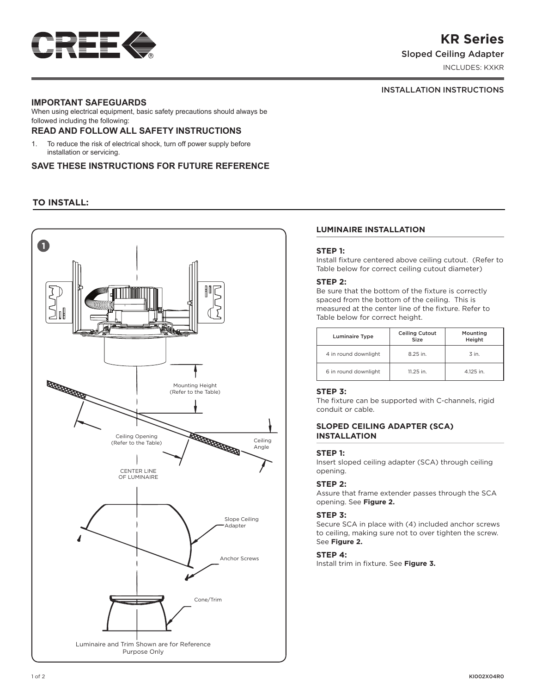

# **KR Series**

Sloped Ceiling Adapter

INCLUDES: KXKR

## INSTALLATION INSTRUCTIONS

# **IMPORTANT SAFEGUARDS**

When using electrical equipment, basic safety precautions should always be followed including the following:

## **READ AND FOLLOW ALL SAFETY INSTRUCTIONS**

1. To reduce the risk of electrical shock, turn off power supply before installation or servicing.

## **SAVE THESE INSTRUCTIONS FOR FUTURE REFERENCE**

# **TO INSTALL:**



## **LUMINAIRE INSTALLATION**

## **STEP 1:**

Install fixture centered above ceiling cutout. (Refer to Table below for correct ceiling cutout diameter)

## **STEP 2:**

Be sure that the bottom of the fixture is correctly spaced from the bottom of the ceiling. This is measured at the center line of the fixture. Refer to Table below for correct height.

| <b>Luminaire Type</b> | <b>Ceiling Cutout</b><br>Size | Mounting<br>Height |
|-----------------------|-------------------------------|--------------------|
| 4 in round downlight  | 8.25 in.                      | $\overline{3}$ in. |
| 6 in round downlight  | 11.25 in.                     | 4.125 in.          |

## **STEP 3:**

The fixture can be supported with C-channels, rigid conduit or cable.

## **SLOPED CEILING ADAPTER (SCA) INSTALLATION**

#### **STEP 1:**

Insert sloped ceiling adapter (SCA) through ceiling opening.

#### **STEP 2:**

Assure that frame extender passes through the SCA opening. See **Figure 2.**

#### **STEP 3:**

Secure SCA in place with (4) included anchor screws to ceiling, making sure not to over tighten the screw. See **Figure 2.**

#### **STEP 4:**

Install trim in fixture. See **Figure 3.**